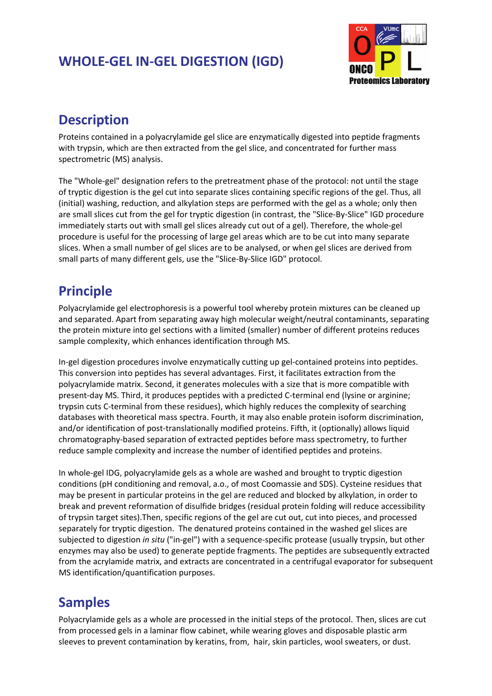## **WHOLE‐GEL IN‐GEL DIGESTION (IGD)**



## **Description**

Proteins contained in a polyacrylamide gel slice are enzymatically digested into peptide fragments with trypsin, which are then extracted from the gel slice, and concentrated for further mass spectrometric (MS) analysis.

The "Whole-gel" designation refers to the pretreatment phase of the protocol: not until the stage of tryptic digestion is the gel cut into separate slices containing specific regions of the gel. Thus, all (initial) washing, reduction, and alkylation steps are performed with the gel as a whole; only then are small slices cut from the gel for tryptic digestion (in contrast, the "Slice-By-Slice" IGD procedure immediately starts out with small gel slices already cut out of a gel). Therefore, the whole-gel procedure is useful for the processing of large gel areas which are to be cut into many separate slices. When a small number of gel slices are to be analysed, or when gel slices are derived from small parts of many different gels, use the "Slice‐By‐Slice IGD" protocol.

# **Principle**

Polyacrylamide gel electrophoresis is a powerful tool whereby protein mixtures can be cleaned up and separated. Apart from separating away high molecular weight/neutral contaminants, separating the protein mixture into gel sections with a limited (smaller) number of different proteins reduces sample complexity, which enhances identification through MS.

In-gel digestion procedures involve enzymatically cutting up gel-contained proteins into peptides. This conversion into peptides has several advantages. First, it facilitates extraction from the polyacrylamide matrix. Second, it generates molecules with a size that is more compatible with present-day MS. Third, it produces peptides with a predicted C-terminal end (lysine or arginine; trypsin cuts C‐terminal from these residues), which highly reduces the complexity of searching databases with theoretical mass spectra. Fourth, it may also enable protein isoform discrimination, and/or identification of post-translationally modified proteins. Fifth, it (optionally) allows liquid chromatography‐based separation of extracted peptides before mass spectrometry, to further reduce sample complexity and increase the number of identified peptides and proteins.

In whole‐gel IDG, polyacrylamide gels as a whole are washed and brought to tryptic digestion conditions (pH conditioning and removal, a.o., of most Coomassie and SDS). Cysteine residues that may be present in particular proteins in the gel are reduced and blocked by alkylation, in order to break and prevent reformation of disulfide bridges (residual protein folding will reduce accessibility of trypsin target sites).Then, specific regions of the gel are cut out, cut into pieces, and processed separately for tryptic digestion. The denatured proteins contained in the washed gel slices are subjected to digestion *in situ* ("in‐gel") with a sequence‐specific protease (usually trypsin, but other enzymes may also be used) to generate peptide fragments. The peptides are subsequently extracted from the acrylamide matrix, and extracts are concentrated in a centrifugal evaporator for subsequent MS identification/quantification purposes.

# **Samples**

Polyacrylamide gels as a whole are processed in the initial steps of the protocol. Then, slices are cut from processed gels in a laminar flow cabinet, while wearing gloves and disposable plastic arm sleeves to prevent contamination by keratins, from, hair, skin particles, wool sweaters, or dust.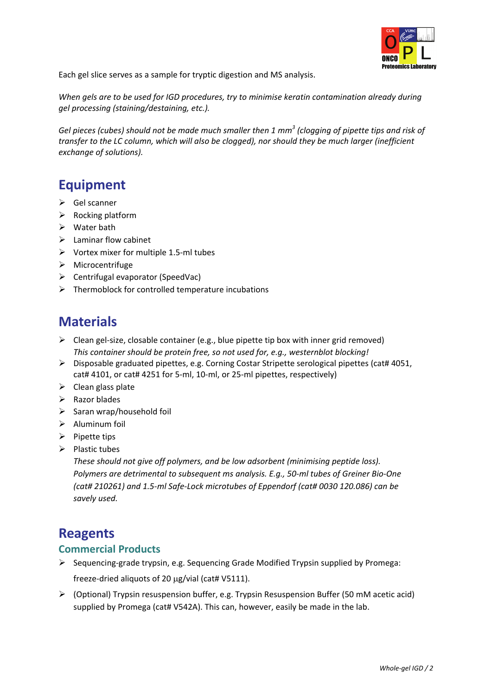

Each gel slice serves as a sample for tryptic digestion and MS analysis.

*When gels are to be used for IGD procedures, try to minimise keratin contamination already during gel processing (staining/destaining, etc.).*

Gel pieces (cubes) should not be made much smaller then 1  $mm<sup>3</sup>$  (clogging of pipette tips and risk of *transfer to the LC column, which will also be clogged), nor should they be much larger (inefficient exchange of solutions).*

## **Equipment**

- $\triangleright$  Gel scanner
- $\triangleright$  Rocking platform
- $\triangleright$  Water bath
- $\triangleright$  Laminar flow cabinet
- ¾ Vortex mixer for multiple 1.5‐ml tubes
- $\triangleright$  Microcentrifuge
- $\triangleright$  Centrifugal evaporator (SpeedVac)
- $\triangleright$  Thermoblock for controlled temperature incubations

## **Materials**

- $\triangleright$  Clean gel-size, closable container (e.g., blue pipette tip box with inner grid removed) *This container should be protein free, so not used for, e.g., westernblot blocking!*
- $\triangleright$  Disposable graduated pipettes, e.g. Corning Costar Stripette serological pipettes (cat# 4051, cat# 4101, or cat# 4251 for 5‐ml, 10‐ml, or 25‐ml pipettes, respectively)
- $\triangleright$  Clean glass plate
- $\triangleright$  Razor blades
- ¾ Saran wrap/household foil
- $\triangleright$  Aluminum foil
- $\triangleright$  Pipette tips
- $\triangleright$  Plastic tubes

*These should not give off polymers, and be low adsorbent (minimising peptide loss). Polymers are detrimental to subsequent ms analysis. E.g., 50‐ml tubes of Greiner Bio‐One (cat# 210261) and 1.5‐ml Safe‐Lock microtubes of Eppendorf (cat# 0030 120.086) can be savely used.*

## **Reagents**

### **Commercial Products**

- ¾ Sequencing‐grade trypsin, e.g. Sequencing Grade Modified Trypsin supplied by Promega: freeze‐dried aliquots of 20 μg/vial (cat# V5111).
- $\triangleright$  (Optional) Trypsin resuspension buffer, e.g. Trypsin Resuspension Buffer (50 mM acetic acid) supplied by Promega (cat# V542A). This can, however, easily be made in the lab.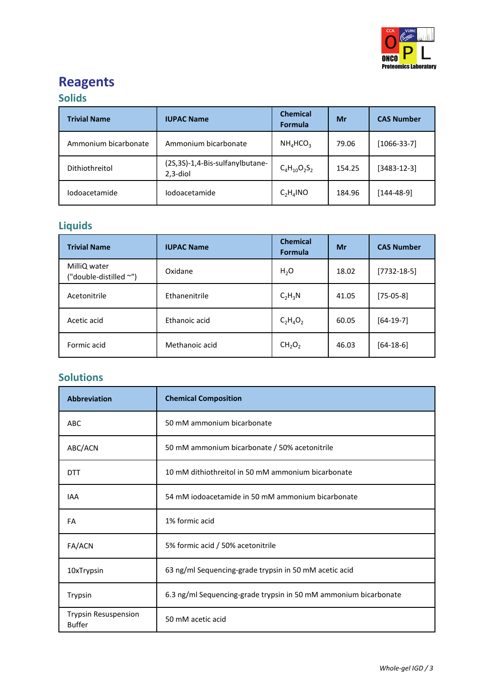

# **Reagents**

## **Solids**

| <b>Trivial Name</b>  | <b>IUPAC Name</b>                               | <b>Chemical</b><br><b>Formula</b> | Mr     | <b>CAS Number</b> |
|----------------------|-------------------------------------------------|-----------------------------------|--------|-------------------|
| Ammonium bicarbonate | Ammonium bicarbonate                            | $NH_4HCO_3$                       | 79.06  | $[1066-33-7]$     |
| Dithiothreitol       | (2S,3S)-1,4-Bis-sulfanylbutane-<br>$2, 3$ -diol | $C_4H_{10}O_2S_2$                 | 154.25 | $[3483 - 12 - 3]$ |
| <i>lodoacetamide</i> | <i>lodoacetamide</i>                            | $C_2H_4NO$                        | 184.96 | [144-48-9]        |

## **Liquids**

| <b>Trivial Name</b>                    | <b>IUPAC Name</b> | <b>Chemical</b><br><b>Formula</b> | Mr    | <b>CAS Number</b> |
|----------------------------------------|-------------------|-----------------------------------|-------|-------------------|
| MilliQ water<br>("double-distilled ~") | Oxidane           | $H_2O$                            | 18.02 | $[7732-18-5]$     |
| Acetonitrile                           | Ethanenitrile     | $C_2H_3N$                         | 41.05 | $[75-05-8]$       |
| Acetic acid                            | Ethanoic acid     | $C_2H_4O_2$                       | 60.05 | $[64-19-7]$       |
| Formic acid                            | Methanoic acid    | CH <sub>2</sub> O <sub>2</sub>    | 46.03 | $[64-18-6]$       |

## **Solutions**

| <b>Abbreviation</b>                          | <b>Chemical Composition</b>                                      |  |
|----------------------------------------------|------------------------------------------------------------------|--|
| ABC                                          | 50 mM ammonium bicarbonate                                       |  |
| ABC/ACN                                      | 50 mM ammonium bicarbonate / 50% acetonitrile                    |  |
| <b>DTT</b>                                   | 10 mM dithiothreitol in 50 mM ammonium bicarbonate               |  |
| <b>IAA</b>                                   | 54 mM iodoacetamide in 50 mM ammonium bicarbonate                |  |
| FA                                           | 1% formic acid                                                   |  |
| FA/ACN                                       | 5% formic acid / 50% acetonitrile                                |  |
| 10xTrypsin                                   | 63 ng/ml Sequencing-grade trypsin in 50 mM acetic acid           |  |
| Trypsin                                      | 6.3 ng/ml Sequencing-grade trypsin in 50 mM ammonium bicarbonate |  |
| <b>Trypsin Resuspension</b><br><b>Buffer</b> | 50 mM acetic acid                                                |  |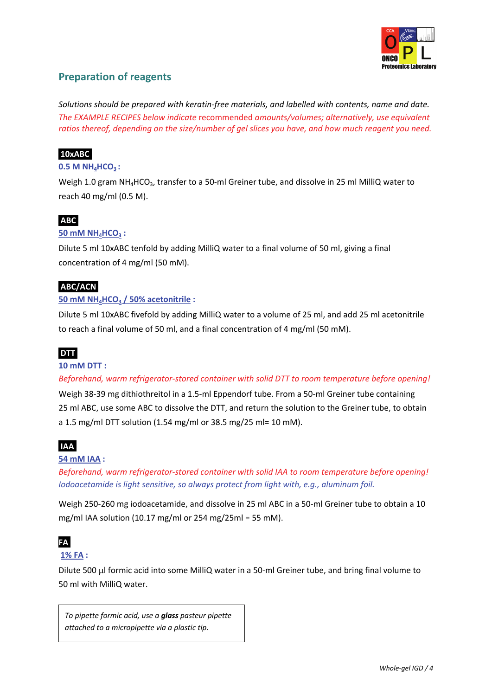

### **Preparation of reagents**

*Solutions should be prepared with keratin‐free materials, and labelled with contents, name and date. The EXAMPLE RECIPES below indicate* recommended *amounts/volumes; alternatively, use equivalent ratios thereof, depending on the size/number of gel slices you have, and how much reagent you need.*

#### **10xABC.**

#### **0.5 M NH4HCO3 :**

Weigh 1.0 gram NH<sub>4</sub>HCO<sub>3</sub>, transfer to a 50-ml Greiner tube, and dissolve in 25 ml MilliQ water to reach 40 mg/ml (0.5 M).

#### **ABC**.

#### **50 mM NH4HCO3 :**

Dilute 5 ml 10xABC tenfold by adding MilliQ water to a final volume of 50 ml, giving a final concentration of 4 mg/ml (50 mM).

#### **ABC/ACN**.

#### **50 mM NH4HCO3 / 50% acetonitrile :**

Dilute 5 ml 10xABC fivefold by adding MilliQ water to a volume of 25 ml, and add 25 ml acetonitrile to reach a final volume of 50 ml, and a final concentration of 4 mg/ml (50 mM).

#### **DTT**.

#### **10 mM DTT :**

*Beforehand, warm refrigerator‐stored container with solid DTT to room temperature before opening!*

Weigh 38‐39 mg dithiothreitol in a 1.5‐ml Eppendorf tube. From a 50‐ml Greiner tube containing 25 ml ABC, use some ABC to dissolve the DTT, and return the solution to the Greiner tube, to obtain a 1.5 mg/ml DTT solution (1.54 mg/ml or 38.5 mg/25 ml= 10 mM).

### **IAA**.

#### **54 mM IAA :**

*Beforehand, warm refrigerator‐stored container with solid IAA to room temperature before opening! Iodoacetamide is light sensitive, so always protect from light with, e.g., aluminum foil.*

Weigh 250‐260 mg iodoacetamide, and dissolve in 25 ml ABC in a 50‐ml Greiner tube to obtain a 10 mg/ml IAA solution (10.17 mg/ml or 254 mg/25ml = 55 mM).

### **FA**.

#### **1% FA :**

Dilute 500 μl formic acid into some MilliQ water in a 50‐ml Greiner tube, and bring final volume to 50 ml with MilliQ water.

*To pipette formic acid, use a glass pasteur pipette attached to a micropipette via a plastic tip.*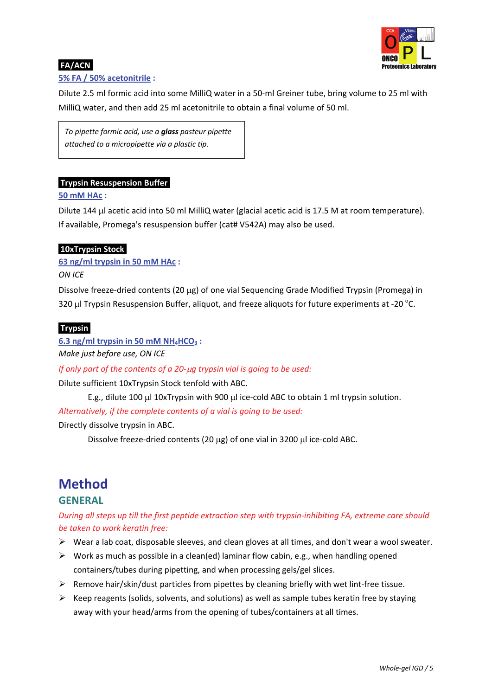

### **FA/ACN**.

#### **5% FA / 50% acetonitrile :**

Dilute 2.5 ml formic acid into some MilliQ water in a 50‐ml Greiner tube, bring volume to 25 ml with MilliQ water, and then add 25 ml acetonitrile to obtain a final volume of 50 ml.

*To pipette formic acid, use a glass pasteur pipette attached to a micropipette via a plastic tip.*

#### **Trypsin Resuspension Buffer**.

#### **50 mM HAc :**

Dilute 144 μl acetic acid into 50 ml MilliQ water (glacial acetic acid is 17.5 M at room temperature). If available, Promega's resuspension buffer (cat# V542A) may also be used.

#### **10xTrypsin Stock**.

**63 ng/ml trypsin in 50 mM HAc :**

#### *ON ICE*

Dissolve freeze‐dried contents (20 μg) of one vial Sequencing Grade Modified Trypsin (Promega) in 320  $\mu$ I Trypsin Resuspension Buffer, aliquot, and freeze aliquots for future experiments at -20  $^{\circ}$ C.

#### **Trypsin**.

 $6.3$  **ng/ml trypsin in** 50 **mM**  $NH_4HCO_3$ :

*Make just before use, ON ICE*

#### *If only part of the contents of a 20‐*μ*g trypsin vial is going to be used:*

Dilute sufficient 10xTrypsin Stock tenfold with ABC.

E.g., dilute 100 μl 10xTrypsin with 900 μl ice‐cold ABC to obtain 1 ml trypsin solution. *Alternatively, if the complete contents of a vial is going to be used:* 

Directly dissolve trypsin in ABC.

Dissolve freeze-dried contents (20 μg) of one vial in 3200 μl ice-cold ABC.

### **Method GENERAL**

#### During all steps up till the first peptide extraction step with trypsin-inhibiting FA, extreme care should *be taken to work keratin free:*

- $\triangleright$  Wear a lab coat, disposable sleeves, and clean gloves at all times, and don't wear a wool sweater.
- $\triangleright$  Work as much as possible in a clean(ed) laminar flow cabin, e.g., when handling opened containers/tubes during pipetting, and when processing gels/gel slices.
- ¾ Remove hair/skin/dust particles from pipettes by cleaning briefly with wet lint‐free tissue.
- $\triangleright$  Keep reagents (solids, solvents, and solutions) as well as sample tubes keratin free by staying away with your head/arms from the opening of tubes/containers at all times.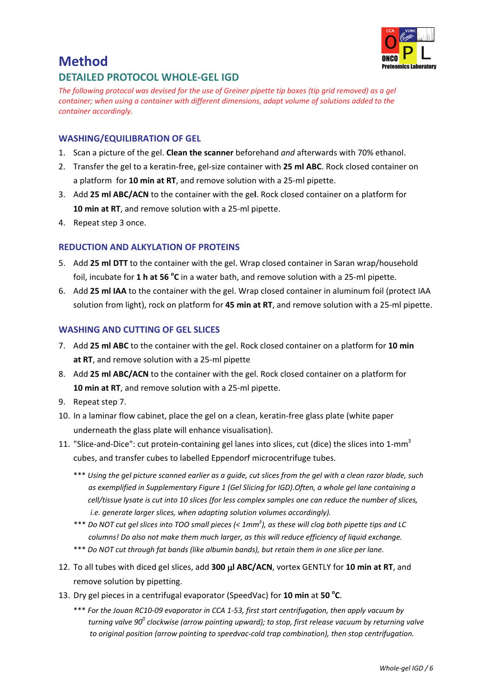

# **Method**

### **DETAILED PROTOCOL WHOLE‐GEL IGD**

The following protocol was devised for the use of Greiner pipette tip boxes (tip grid removed) as a gel *container; when using a container with different dimensions, adapt volume of solutions added to the container accordingly.*

#### **WASHING/EQUILIBRATION OF GEL**

- 1. Scan a picture of the gel. **Clean the scanner** beforehand *and* afterwards with 70% ethanol.
- 2. Transfer the gel to a keratin‐free, gel‐size container with **25 ml ABC**. Rock closed container on a platform for **10 min at RT**, and remove solution with a 25‐ml pipette.
- 3. Add **25 ml ABC/ACN** to the container with the ge**l**. Rock closed container on a platform for **10 min at RT**, and remove solution with a 25‐ml pipette.
- 4. Repeat step 3 once.

#### **REDUCTION AND ALKYLATION OF PROTEINS**

- 5. Add **25 ml DTT** to the container with the gel. Wrap closed container in Saran wrap/household foil, incubate for **1 h at 56 <sup>o</sup> C** in a water bath, and remove solution with a 25‐ml pipette.
- 6. Add **25 ml IAA** to the container with the gel. Wrap closed container in aluminum foil (protect IAA solution from light), rock on platform for **45 min at RT**, and remove solution with a 25‐ml pipette.

#### **WASHING AND CUTTING OF GEL SLICES**

- 7. Add **25 ml ABC** to the container with the gel. Rock closed container on a platform for **10 min at RT**, and remove solution with a 25‐ml pipette
- 8. Add **25 ml ABC/ACN** to the container with the gel. Rock closed container on a platform for **10 min at RT**, and remove solution with a 25‐ml pipette.
- 9. Repeat step 7.
- 10. In a laminar flow cabinet, place the gel on a clean, keratin‐free glass plate (white paper underneath the glass plate will enhance visualisation).
- 11. "Slice-and-Dice": cut protein-containing gel lanes into slices, cut (dice) the slices into 1-mm<sup>3</sup> cubes, and transfer cubes to labelled Eppendorf microcentrifuge tubes.
	- \*\*\* Using the gel picture scanned earlier as a quide, cut slices from the gel with a clean razor blade, such *as exemplified in Supplementary Figure 1 (Gel Slicing for IGD).Often, a whole gel lane containing a* cell/tissue lysate is cut into 10 slices (for less complex samples one can reduce the number of slices, *i.e. generate larger slices, when adapting solution volumes accordingly).*
	- \*\*\* Do NOT cut gel slices into TOO small pieces (<  $1mm^3$ ), as these will clog both pipette tips and LC *columns! Do also not make them much larger, as this will reduce efficiency of liquid exchange.*
	- \*\*\* *Do NOT cut through fat bands (like albumin bands), but retain them in one slice per lane.*
- 12. To all tubes with diced gel slices, add **300** μ**l ABC/ACN**, vortex GENTLY for **10 min at RT**, and remove solution by pipetting.
- 13. Dry gel pieces in <sup>a</sup> centrifugal evaporator (SpeedVac) for **<sup>10</sup> min** at **<sup>50</sup> <sup>o</sup> C**.
	- \*\*\* For the Jouan RC10-09 evaporator in CCA 1-53, first start centrifugation, then apply vacuum by *turning valve 900 clockwise (arrow pointing upward); to stop, first release vacuum by returning valve to original position (arrow pointing to speedvac‐cold trap combination), then stop centrifugation.*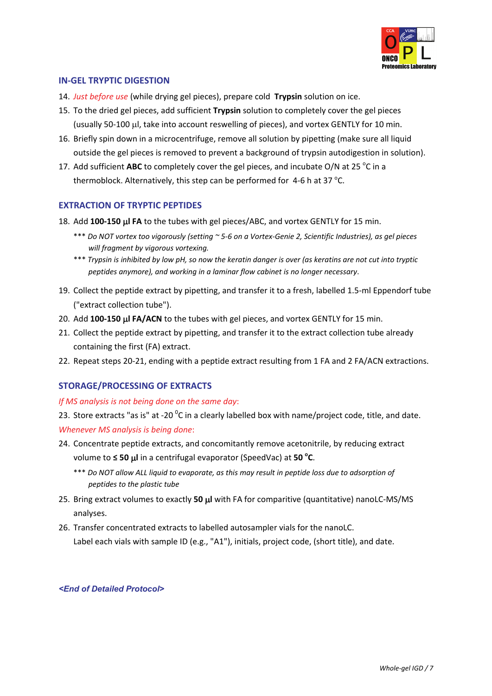

#### **IN‐GEL TRYPTIC DIGESTION**

- 14. *Just before use* (while drying gel pieces), prepare cold **Trypsin** solution on ice.
- 15. To the dried gel pieces, add sufficient **Trypsin** solution to completely cover the gel pieces (usually 50‐100 μl, take into account reswelling of pieces), and vortex GENTLY for 10 min.
- 16. Briefly spin down in a microcentrifuge, remove all solution by pipetting (make sure all liquid outside the gel pieces is removed to prevent a background of trypsin autodigestion in solution).
- 17. Add sufficient ABC to completely cover the gel pieces, and incubate O/N at 25 °C in a thermoblock. Alternatively, this step can be performed for  $4-6$  h at 37 °C.

#### **EXTRACTION OF TRYPTIC PEPTIDES**

- 18. Add **<sup>100</sup>‐<sup>150</sup>** <sup>μ</sup>**<sup>l</sup> FA** to the tubes with gel pieces/ABC, and vortex GENTLY for <sup>15</sup> min.
	- \*\*\* Do NOT vortex too vigorously (setting ~ 5-6 on a Vortex-Genie 2, Scientific Industries), as gel pieces *will fragment by vigorous vortexing.*
	- \*\*\* Trypsin is inhibited by low pH, so now the keratin danger is over (as keratins are not cut into tryptic *peptides anymore), and working in <sup>a</sup> laminar flow cabinet is no longer necessary*.
- 19. Collect the peptide extract by pipetting, and transfer it to a fresh, labelled 1.5‐ml Eppendorf tube ("extract collection tube").
- 20. Add **100‐150** μ**l FA/ACN** to the tubes with gel pieces, and vortex GENTLY for 15 min.
- 21. Collect the peptide extract by pipetting, and transfer it to the extract collection tube already containing the first (FA) extract.
- 22. Repeat steps 20-21, ending with a peptide extract resulting from 1 FA and 2 FA/ACN extractions.

#### **STORAGE/PROCESSING OF EXTRACTS**

#### *If MS analysis is not being done on the same day*:

23. Store extracts "as is" at -20  $^{0}$ C in a clearly labelled box with name/project code, title, and date. *Whenever MS analysis is being done*:

- 24. Concentrate peptide extracts, and concomitantly remove acetonitrile, by reducing extract volume to **≤ 50** μ**l** in a centrifugal evaporator (SpeedVac) at **50 <sup>o</sup> <sup>C</sup>**.
	- \*\*\* Do NOT allow ALL liquid to evaporate, as this may result in peptide loss due to adsorption of *peptides to the plastic tube*
- 25. Bring extract volumes to exactly **50** μ**l** with FA for comparitive (quantitative) nanoLC‐MS/MS analyses.
- 26. Transfer concentrated extracts to labelled autosampler vials for the nanoLC. Label each vials with sample ID (e.g., "A1"), initials, project code, (short title), and date.

#### *<End of Detailed Protocol>*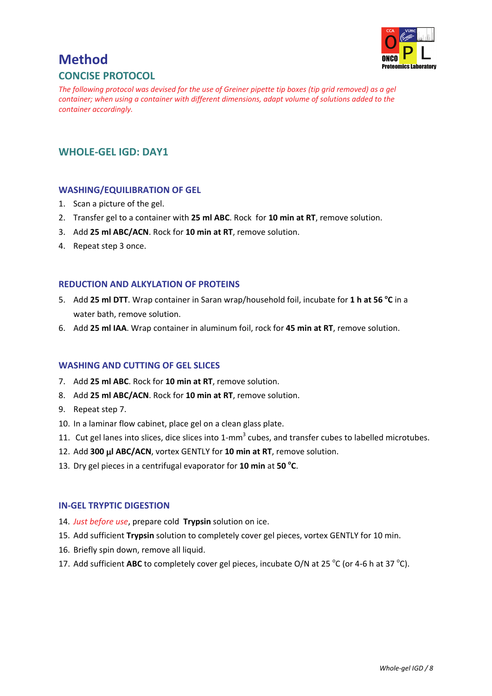

## **Method CONCISE PROTOCOL**

The following protocol was devised for the use of Greiner pipette tip boxes (tip grid removed) as a gel *container; when using a container with different dimensions, adapt volume of solutions added to the container accordingly.*

### **WHOLE‐GEL IGD: DAY1**

#### **WASHING/EQUILIBRATION OF GEL**

- 1. Scan a picture of the gel.
- 2. Transfer gel to a container with **25 ml ABC**. Rock for **10 min at RT**, remove solution.
- 3. Add **25 ml ABC/ACN**. Rock for **10 min at RT**, remove solution.
- 4. Repeat step 3 once.

#### **REDUCTION AND ALKYLATION OF PROTEINS**

- 5. Add **25 ml DTT**. Wrap container in Saran wrap/household foil, incubate for **1 h at 56 <sup>o</sup> C** in a water bath, remove solution.
- 6. Add **25 ml IAA**. Wrap container in aluminum foil, rock for **45 min at RT**, remove solution.

#### **WASHING AND CUTTING OF GEL SLICES**

- 7. Add **25 ml ABC**. Rock for **10 min at RT**, remove solution.
- 8. Add **25 ml ABC/ACN**. Rock for **10 min at RT**, remove solution.
- 9. Repeat step 7.
- 10. In a laminar flow cabinet, place gel on a clean glass plate.
- 11. Cut gel lanes into slices, dice slices into 1-mm<sup>3</sup> cubes, and transfer cubes to labelled microtubes.
- 12. Add **300** μ**l ABC/ACN**, vortex GENTLY for **10 min at RT**, remove solution.
- 13. Dry gel pieces in a centrifugal evaporator for **10 min** at **50 <sup>o</sup> C**.

#### **IN‐GEL TRYPTIC DIGESTION**

- 14. *Just before use*, prepare cold **Trypsin** solution on ice.
- 15. Add sufficient **Trypsin** solution to completely cover gel pieces, vortex GENTLY for 10 min.
- 16. Briefly spin down, remove all liquid.
- 17. Add sufficient ABC to completely cover gel pieces, incubate O/N at 25 °C (or 4-6 h at 37 °C).